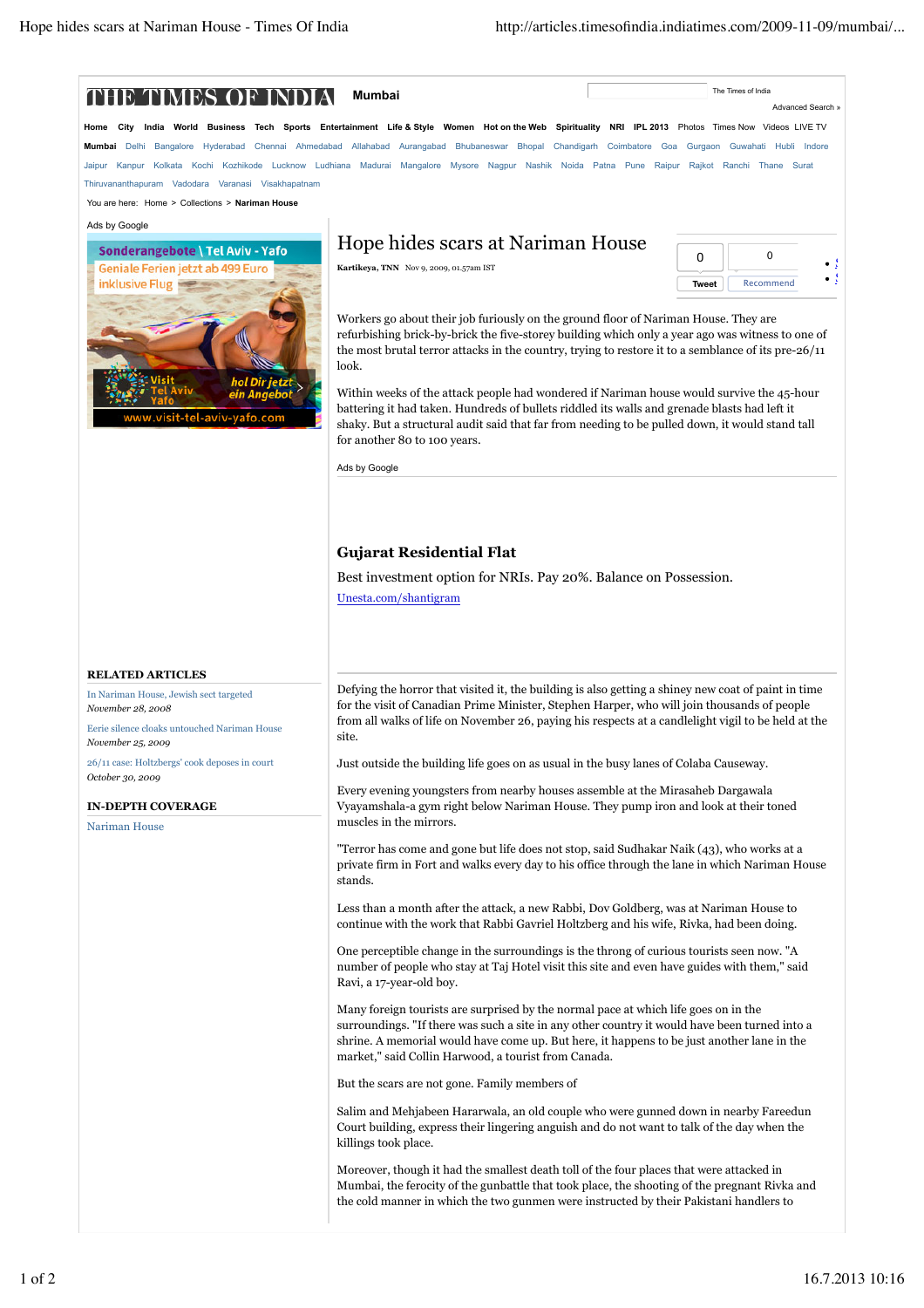